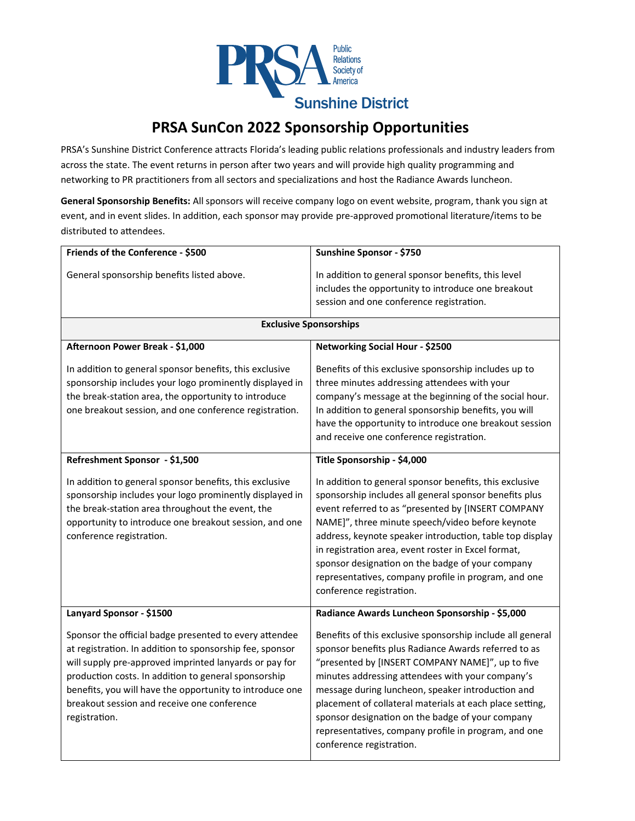

## **PRSA SunCon 2022 Sponsorship Opportunities**

PRSA's Sunshine District Conference attracts Florida's leading public relations professionals and industry leaders from across the state. The event returns in person after two years and will provide high quality programming and networking to PR practitioners from all sectors and specializations and host the Radiance Awards luncheon.

**General Sponsorship Benefits:** All sponsors will receive company logo on event website, program, thank you sign at event, and in event slides. In addition, each sponsor may provide pre-approved promotional literature/items to be distributed to attendees.

| Friends of the Conference - \$500                                                                                                                                                                                                                                                                                                                                | Sunshine Sponsor - \$750                                                                                                                                                                                                                                                                                                                                                                                                                                                               |  |
|------------------------------------------------------------------------------------------------------------------------------------------------------------------------------------------------------------------------------------------------------------------------------------------------------------------------------------------------------------------|----------------------------------------------------------------------------------------------------------------------------------------------------------------------------------------------------------------------------------------------------------------------------------------------------------------------------------------------------------------------------------------------------------------------------------------------------------------------------------------|--|
| General sponsorship benefits listed above.                                                                                                                                                                                                                                                                                                                       | In addition to general sponsor benefits, this level<br>includes the opportunity to introduce one breakout                                                                                                                                                                                                                                                                                                                                                                              |  |
|                                                                                                                                                                                                                                                                                                                                                                  | session and one conference registration.                                                                                                                                                                                                                                                                                                                                                                                                                                               |  |
| <b>Exclusive Sponsorships</b>                                                                                                                                                                                                                                                                                                                                    |                                                                                                                                                                                                                                                                                                                                                                                                                                                                                        |  |
| Afternoon Power Break - \$1,000                                                                                                                                                                                                                                                                                                                                  | <b>Networking Social Hour - \$2500</b>                                                                                                                                                                                                                                                                                                                                                                                                                                                 |  |
| In addition to general sponsor benefits, this exclusive<br>sponsorship includes your logo prominently displayed in<br>the break-station area, the opportunity to introduce<br>one breakout session, and one conference registration.                                                                                                                             | Benefits of this exclusive sponsorship includes up to<br>three minutes addressing attendees with your<br>company's message at the beginning of the social hour.<br>In addition to general sponsorship benefits, you will<br>have the opportunity to introduce one breakout session<br>and receive one conference registration.                                                                                                                                                         |  |
| Refreshment Sponsor - \$1,500                                                                                                                                                                                                                                                                                                                                    | Title Sponsorship - \$4,000                                                                                                                                                                                                                                                                                                                                                                                                                                                            |  |
| In addition to general sponsor benefits, this exclusive<br>sponsorship includes your logo prominently displayed in<br>the break-station area throughout the event, the<br>opportunity to introduce one breakout session, and one<br>conference registration.                                                                                                     | In addition to general sponsor benefits, this exclusive<br>sponsorship includes all general sponsor benefits plus<br>event referred to as "presented by [INSERT COMPANY<br>NAME]", three minute speech/video before keynote<br>address, keynote speaker introduction, table top display<br>in registration area, event roster in Excel format,<br>sponsor designation on the badge of your company<br>representatives, company profile in program, and one<br>conference registration. |  |
| Lanyard Sponsor - \$1500                                                                                                                                                                                                                                                                                                                                         | Radiance Awards Luncheon Sponsorship - \$5,000                                                                                                                                                                                                                                                                                                                                                                                                                                         |  |
| Sponsor the official badge presented to every attendee<br>at registration. In addition to sponsorship fee, sponsor<br>will supply pre-approved imprinted lanyards or pay for<br>production costs. In addition to general sponsorship<br>benefits, you will have the opportunity to introduce one<br>breakout session and receive one conference<br>registration. | Benefits of this exclusive sponsorship include all general<br>sponsor benefits plus Radiance Awards referred to as<br>"presented by [INSERT COMPANY NAME]", up to five<br>minutes addressing attendees with your company's<br>message during luncheon, speaker introduction and<br>placement of collateral materials at each place setting,<br>sponsor designation on the badge of your company<br>representatives, company profile in program, and one<br>conference registration.    |  |